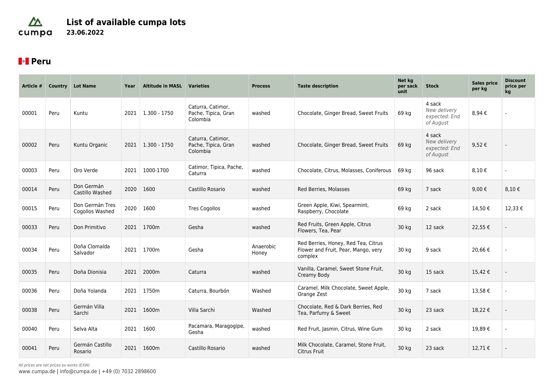### $\Delta$ **List of available cumpa lots** cumpa **23.06.2022**

# **Peru**

| Article # | Country | <b>Lot Name</b>                    | Year | <b>Altitude in MASL</b> | <b>Varieties</b>                                     | <b>Process</b>     | <b>Taste description</b>                                                              | Net kg<br>per sack<br>unit | <b>Stock</b>                                         | <b>Sales price</b><br>per kg | <b>Discount</b><br>price per<br>kg |
|-----------|---------|------------------------------------|------|-------------------------|------------------------------------------------------|--------------------|---------------------------------------------------------------------------------------|----------------------------|------------------------------------------------------|------------------------------|------------------------------------|
| 00001     | Peru    | Kuntu                              |      | $2021$   1.300 - 1750   | Caturra, Catimor,<br>Pache, Tipica, Gran<br>Colombia | washed             | Chocolate, Ginger Bread, Sweet Fruits                                                 | 69 kg                      | 4 sack<br>New delivery<br>expected: End<br>of August | 8,94€                        |                                    |
| 00002     | Peru    | Kuntu Organic                      | 2021 | $1.300 - 1750$          | Caturra, Catimor,<br>Pache, Tipica, Gran<br>Colombia | washed             | Chocolate, Ginger Bread, Sweet Fruits                                                 | 69 kg                      | 4 sack<br>New delivery<br>expected: End<br>of August | 9,52€                        |                                    |
| 00003     | Peru    | Oro Verde                          | 2021 | 1000-1700               | Catimor, Tipica, Pache,<br>Caturra                   | washed             | Chocolate, Citrus, Molasses, Coniferous                                               | 69 kg                      | 96 sack                                              | 8,10€                        |                                    |
| 00014     | Peru    | Don Germán<br>Castillo Washed      | 2020 | 1600                    | Castillo Rosario                                     | washed             | Red Berries, Molasses                                                                 | 69 kg                      | 7 sack                                               | 9,00 €                       | 8,10 $\epsilon$                    |
| 00015     | Peru    | Don Germán Tres<br>Cogollos Washed | 2020 | 1600                    | <b>Tres Cogollos</b>                                 | washed             | Green Apple, Kiwi, Spearmint,<br>Raspberry, Chocolate                                 | 69 kg                      | 2 sack                                               | 14,50€                       | 12.33 €                            |
| 00033     | Peru    | Don Primitivo                      | 2021 | 1700m                   | Gesha                                                | washed             | Red Fruits, Green Apple, Citrus<br>Flowers, Tea, Pear                                 | 30 kg                      | 12 sack                                              | 22,55 €                      |                                    |
| 00034     | Peru    | Doña Clomalda<br>Salvador          | 2021 | 1700m                   | Gesha                                                | Anaerobic<br>Honey | Red Berries, Honey, Red Tea, Citrus<br>Flower and Fruit, Pear, Mango, very<br>complex | 30 kg                      | 9 sack                                               | 20,66€                       |                                    |
| 00035     | Peru    | Doña Dionisia                      | 2021 | 2000m                   | Caturra                                              | washed             | Vanilla, Caramel, Sweet Stone Fruit,<br>Creamy Body                                   | 30 kg                      | 15 sack                                              | 15,42€                       |                                    |
| 00036     | Peru    | Doña Yolanda                       | 2021 | 1750m                   | Caturra, Bourbón                                     | Washed             | Caramel, Milk Chocolate, Sweet Apple,<br>Orange Zest                                  | 30 kg                      | 7 sack                                               | 13,58€                       |                                    |
| 00038     | Peru    | Germán Villa<br>Sarchi             | 2021 | 1600m                   | Villa Sarchi                                         | Washed             | Chocolate, Red & Dark Berries, Red<br>Tea, Parfumy & Sweet                            | 30 kg                      | 23 sack                                              | 18,22€                       |                                    |
| 00040     | Peru    | Selva Alta                         | 2021 | 1600                    | Pacamara, Maragogipe,<br>Gesha                       | washed             | Red Fruit, Jasmin, Citrus, Wine Gum                                                   | 30 kg                      | 2 sack                                               | 19,89€                       |                                    |
| 00041     | Peru    | Germán Castillo<br>Rosario         | 2021 | 1600m                   | Castillo Rosario                                     | washed             | Milk Chocolate, Caramel, Stone Fruit,<br><b>Citrus Fruit</b>                          | 30 kg                      | 23 sack                                              | 12,71€                       |                                    |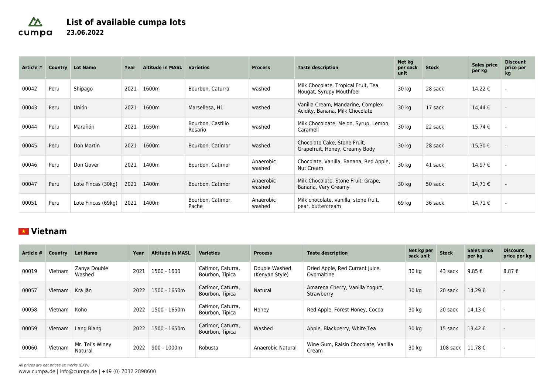### $\Delta$ **List of available cumpa lots** cumpa **23.06.2022**

| Article # | Country | <b>Lot Name</b>    | Year | <b>Altitude in MASL</b> | <b>Varieties</b>             | <b>Process</b>      | <b>Taste description</b>                                             | Net kg<br>per sack<br>unit | <b>Stock</b> | <b>Sales price</b><br>per kg | <b>Discount</b><br>price per<br>kg |
|-----------|---------|--------------------|------|-------------------------|------------------------------|---------------------|----------------------------------------------------------------------|----------------------------|--------------|------------------------------|------------------------------------|
| 00042     | Peru    | Shipago            | 2021 | 1600m                   | Bourbon, Caturra             | washed              | Milk Chocolate, Tropical Fruit, Tea,<br>Nougat, Syrupy Mouthfeel     | 30 kg                      | 28 sack      | 14,22 €                      |                                    |
| 00043     | Peru    | Unión              | 2021 | 1600m                   | Marsellesa, H1               | washed              | Vanilla Cream, Mandarine, Complex<br>Acidity, Banana, Milk Chocolate | 30 kg                      | 17 sack      | 14,44 €                      |                                    |
| 00044     | Peru    | Marañón            | 2021 | 1650m                   | Bourbon, Castillo<br>Rosario | washed              | Milk Chocoloate, Melon, Syrup, Lemon,<br>Caramell                    | 30 kg                      | 22 sack      | 15,74€                       |                                    |
| 00045     | Peru    | Don Martin         | 2021 | 1600m                   | Bourbon, Catimor             | washed              | Chocolate Cake, Stone Fruit,<br>Grapefruit, Honey, Creamy Body       | 30 kg                      | 28 sack      | 15,30 €                      |                                    |
| 00046     | Peru    | Don Gover          | 2021 | 1400m                   | Bourbon, Catimor             | Anaerobic<br>washed | Chocolate, Vanilla, Banana, Red Apple,<br><b>Nut Cream</b>           | 30 kg                      | 41 sack      | 14,97€                       |                                    |
| 00047     | Peru    | Lote Fincas (30kg) | 2021 | 1400m                   | Bourbon, Catimor             | Anaerobic<br>washed | Milk Chocolate, Stone Fruit, Grape,<br>Banana, Very Creamy           | 30 kg                      | 50 sack      | 14,71€                       |                                    |
| 00051     | Peru    | Lote Fincas (69kg) | 2021 | 1400m                   | Bourbon, Catimor,<br>Pache   | Anaerobic<br>washed | Milk chocolate, vanilla, stone fruit,<br>pear, buttercream           | 69 kg                      | 36 sack      | 14,71€                       |                                    |

## **Vietnam**

| Article # | Country | <b>Lot Name</b>            | Year | <b>Altitude in MASL</b> | <b>Varieties</b>                     | <b>Process</b>                  | <b>Taste description</b>                      | Net kg per<br>sack unit | <b>Stock</b> | Sales price<br>per kg | <b>Discount</b><br>price per kg |
|-----------|---------|----------------------------|------|-------------------------|--------------------------------------|---------------------------------|-----------------------------------------------|-------------------------|--------------|-----------------------|---------------------------------|
| 00019     | Vietnam | Zanya Double<br>Washed     | 2021 | 1500 - 1600             | Catimor, Caturra,<br>Bourbon, Tipica | Double Washed<br>(Kenyan Style) | Dried Apple, Red Currant Juice,<br>Ovomaltine | 30 kg                   | 43 sack      | 9.85 €                | 8.87 €                          |
| 00057     | Vietnam | Kra Jăn                    | 2022 | 1500 - 1650m            | Catimor, Caturra,<br>Bourbon, Tipica | Natural                         | Amarena Cherry, Vanilla Yogurt,<br>Strawberry | 30 kg                   | 20 sack      | 14.29€                | $\overline{\phantom{a}}$        |
| 00058     | Vietnam | Koho                       | 2022 | 1500 - 1650m            | Catimor, Caturra,<br>Bourbon, Tipica | Honey                           | Red Apple, Forest Honey, Cocoa                | 30 kg                   | 20 sack      | 14.13€                | $\overline{\phantom{a}}$        |
| 00059     | Vietnam | Lang Biang                 | 2022 | 1500 - 1650m            | Catimor, Caturra,<br>Bourbon, Tipica | Washed                          | Apple, Blackberry, White Tea                  | 30 kg                   | 15 sack      | $13.42 \notin$        | $\overline{\phantom{a}}$        |
| 00060     | Vietnam | Mr. Toi's Winey<br>Natural | 2022 | $900 - 1000m$           | Robusta                              | Anaerobic Natural               | Wine Gum, Raisin Chocolate, Vanilla<br>Cream  | 30 kg                   | 108 sack     | 11,78€                | $\overline{\phantom{a}}$        |

All prices are net prices ex works (EXW)

[www.cumpa.de](http://www.cumpa.de/) | [info@cumpa.de](mailto:info@cumpa.de) | [+49 \(0\) 7032 2898600](#page--1-0)